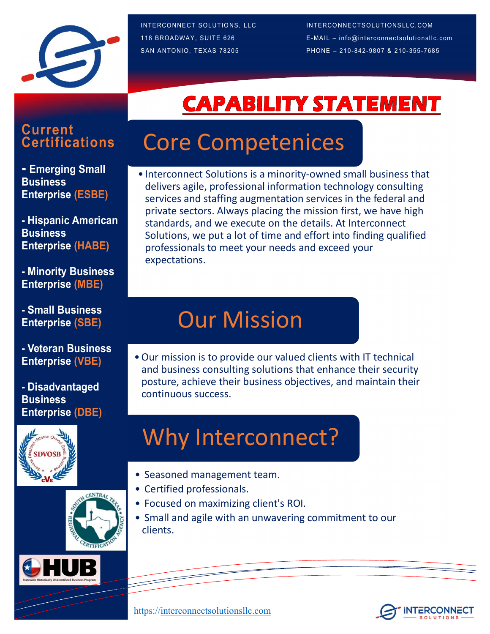

INTERCONNECT SOLUTIONS, LLC<br>
118 BROADWAY, SUITE 626 E-MAIL – info@interconnectsolutionsIlc.com<br>
SAN ANTONIO, TEXAS 78205 PHONE – 210-842-9807 & 210-355-7685 INTERCONNECT SOLUTIONS, LLC<br>
118 BROADWAY, SUITE 626 E-MAIL – info@interconnectsolutions llc.com<br>
SAN ANTONIO, TEXAS 78205 PHONE – 210-842-9807 & 210-355-7685 INTERCONNECT SOLUTIONS, LLC<br>
SAN ANTONIO, TEXAS 78205<br>
SAN ANTONIO, TEXAS 78205<br>
PHONE – 210-842-9807 & 210-355-7685<br>
PHONE – 210-842-9807 & 210-355-7685<br>
PHONE – 210-842-9807 & 210-355-7685

# **Current**<br>Certifications

**Business** Enterprise (ESBE)

- Hispanic American **Business** Enterprise (HABE)

- Minority Business Enterprise (MBE)

- Small Business Enterprise (SBE)

Enterprise (VBE)

- Disadvantaged **Business** Enterprise (DBE)







# **Cortifications Core Competenices**

INTERCONNECT SOLUTIONS, LLCCC INTERCONNECTSOLUTIONSLLC.COM<br>
• E-MAIL – info@interconnectsolutions ile.com<br>
• SAN ANTONIO, TEXAS 78205<br>
• PHONE – 210-842-9807 & 210-355-7685<br>
• Interconnect Solutions is a minority-owned sma delivers agile, professional information technology consulting services and staffing augmentation services in the federal and private sectors. Always placing the mission first, we have high standards, and we execute on the details. At Interconnect Solutions, we put a lot of time and effort into finding qualified professionals to meet your needs and exceed your expectations. • Interconnect Solutions is a minority-owned small business that<br>delivers agile, professional information technology consulting<br>services and staffing augmentation services in the federal and<br>private sectors. Always placing - Emerging Small **Contract Contact Solutions is a minority-owned small business that** 

### Our Mission

**OUT Mission**<br>
• Our mission is to provide our valued clients with IT technic<br>
and business consulting solutions that enhance their secure<br>
posture, achieve their business objectives, and maintain th<br> **Why Interconnect?**<br> **OUT Mission**<br>
• Our mission is to provide our valued clients with IT technic<br>
and business consulting solutions that enhance their secure<br>
posture, achieve their business objectives, and maintain th<br>
continuous success.<br> **OUT MISSION**<br>
• Our mission is to provide our valued clients with IT technic<br>
and business consulting solutions that enhance their secure<br>
posture, achieve their business objectives, and maintain th<br>
continuous success.<br> • Our mission is to provide our valued clients with IT technical<br>
and business consulting solutions that enhance their security<br>
posture, achieve their business objectives, and maintain their<br>
continuous success.<br>
• Why In and business consulting solutions that enhance their security posture, achieve their business objectives, and maintain their continuous success. - Veteran Business<br>
Fotornico Alp Filho - Our mission is to provide our valued clients with IT technical

## Why Interconnect?

- 
- 
- 
- clients.

https://interconnectsolutionsllc.com